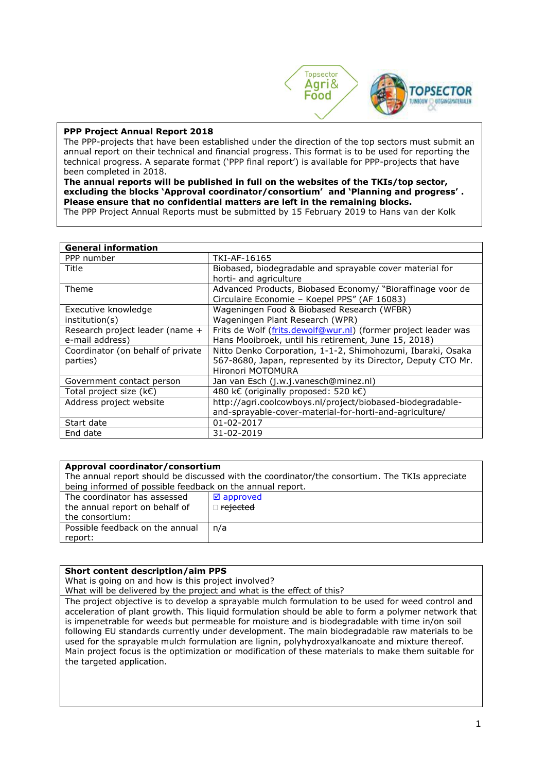

### **PPP Project Annual Report 2018**

The PPP-projects that have been established under the direction of the top sectors must submit an annual report on their technical and financial progress. This format is to be used for reporting the technical progress. A separate format ('PPP final report') is available for PPP-projects that have been completed in 2018.

**The annual reports will be published in full on the websites of the TKIs/top sector, excluding the blocks 'Approval coordinator/consortium' and 'Planning and progress' . Please ensure that no confidential matters are left in the remaining blocks.**

The PPP Project Annual Reports must be submitted by 15 February 2019 to Hans van der Kolk

| <b>General information</b>         |                                                                |  |  |
|------------------------------------|----------------------------------------------------------------|--|--|
| PPP number                         | TKI-AF-16165                                                   |  |  |
| Title                              | Biobased, biodegradable and sprayable cover material for       |  |  |
|                                    | horti- and agriculture                                         |  |  |
| Theme                              | Advanced Products, Biobased Economy/ "Bioraffinage voor de     |  |  |
|                                    | Circulaire Economie - Koepel PPS" (AF 16083)                   |  |  |
| Executive knowledge                | Wageningen Food & Biobased Research (WFBR)                     |  |  |
| institution(s)                     | Wageningen Plant Research (WPR)                                |  |  |
| Research project leader (name +    | Frits de Wolf (frits.dewolf@wur.nl) (former project leader was |  |  |
| e-mail address)                    | Hans Mooibroek, until his retirement, June 15, 2018)           |  |  |
| Coordinator (on behalf of private  | Nitto Denko Corporation, 1-1-2, Shimohozumi, Ibaraki, Osaka    |  |  |
| parties)                           | 567-8680, Japan, represented by its Director, Deputy CTO Mr.   |  |  |
|                                    | Hironori MOTOMURA                                              |  |  |
| Government contact person          | Jan van Esch (j.w.j.vanesch@minez.nl)                          |  |  |
| Total project size ( $k\epsilon$ ) | 480 k€ (originally proposed: 520 k€)                           |  |  |
| Address project website            | http://agri.coolcowboys.nl/project/biobased-biodegradable-     |  |  |
|                                    | and-sprayable-cover-material-for-horti-and-agriculture/        |  |  |
| Start date                         | 01-02-2017                                                     |  |  |
| End date                           | 31-02-2019                                                     |  |  |

#### **Approval coordinator/consortium**  The annual report should be discussed with the coordinator/the consortium. The TKIs appreciate being informed of possible feedback on the annual report*.* The coordinator has assessed the annual report on behalf of the consortium: **Ø** approved  $|\Box$  rejected

| the consortium:                 |     |
|---------------------------------|-----|
| Possible feedback on the annual | n/a |
| report:                         |     |
|                                 |     |

# **Short content description/aim PPS**

What is going on and how is this project involved?

What will be delivered by the project and what is the effect of this?

The project objective is to develop a sprayable mulch formulation to be used for weed control and acceleration of plant growth. This liquid formulation should be able to form a polymer network that is impenetrable for weeds but permeable for moisture and is biodegradable with time in/on soil following EU standards currently under development. The main biodegradable raw materials to be used for the sprayable mulch formulation are lignin, polyhydroxyalkanoate and mixture thereof. Main project focus is the optimization or modification of these materials to make them suitable for the targeted application.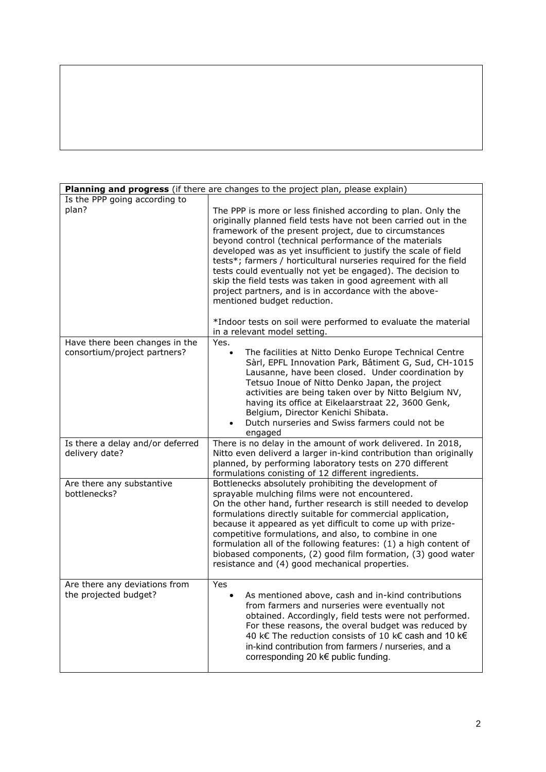| Planning and progress (if there are changes to the project plan, please explain) |                                                                                                                                                                                                                                                                                                                                                                                                                                                                                                                                                                                                                                                                                  |  |  |  |  |
|----------------------------------------------------------------------------------|----------------------------------------------------------------------------------------------------------------------------------------------------------------------------------------------------------------------------------------------------------------------------------------------------------------------------------------------------------------------------------------------------------------------------------------------------------------------------------------------------------------------------------------------------------------------------------------------------------------------------------------------------------------------------------|--|--|--|--|
| Is the PPP going according to                                                    |                                                                                                                                                                                                                                                                                                                                                                                                                                                                                                                                                                                                                                                                                  |  |  |  |  |
| plan?                                                                            | The PPP is more or less finished according to plan. Only the<br>originally planned field tests have not been carried out in the<br>framework of the present project, due to circumstances<br>beyond control (technical performance of the materials<br>developed was as yet insufficient to justify the scale of field<br>tests*; farmers / horticultural nurseries required for the field<br>tests could eventually not yet be engaged). The decision to<br>skip the field tests was taken in good agreement with all<br>project partners, and is in accordance with the above-<br>mentioned budget reduction.<br>*Indoor tests on soil were performed to evaluate the material |  |  |  |  |
|                                                                                  | in a relevant model setting.                                                                                                                                                                                                                                                                                                                                                                                                                                                                                                                                                                                                                                                     |  |  |  |  |
| Have there been changes in the<br>consortium/project partners?                   | Yes.<br>The facilities at Nitto Denko Europe Technical Centre<br>$\bullet$<br>Sàrl, EPFL Innovation Park, Bâtiment G, Sud, CH-1015<br>Lausanne, have been closed. Under coordination by<br>Tetsuo Inoue of Nitto Denko Japan, the project<br>activities are being taken over by Nitto Belgium NV,<br>having its office at Eikelaarstraat 22, 3600 Genk,<br>Belgium, Director Kenichi Shibata.<br>Dutch nurseries and Swiss farmers could not be<br>engaged                                                                                                                                                                                                                       |  |  |  |  |
| Is there a delay and/or deferred                                                 | There is no delay in the amount of work delivered. In 2018,                                                                                                                                                                                                                                                                                                                                                                                                                                                                                                                                                                                                                      |  |  |  |  |
| delivery date?                                                                   | Nitto even deliverd a larger in-kind contribution than originally<br>planned, by performing laboratory tests on 270 different<br>formulations conisting of 12 different ingredients.                                                                                                                                                                                                                                                                                                                                                                                                                                                                                             |  |  |  |  |
| Are there any substantive<br>bottlenecks?                                        | Bottlenecks absolutely prohibiting the development of<br>sprayable mulching films were not encountered.<br>On the other hand, further research is still needed to develop<br>formulations directly suitable for commercial application,<br>because it appeared as yet difficult to come up with prize-<br>competitive formulations, and also, to combine in one<br>formulation all of the following features: (1) a high content of<br>biobased components, (2) good film formation, (3) good water<br>resistance and (4) good mechanical properties.                                                                                                                            |  |  |  |  |
| Are there any deviations from<br>the projected budget?                           | Yes<br>As mentioned above, cash and in-kind contributions<br>from farmers and nurseries were eventually not<br>obtained. Accordingly, field tests were not performed.<br>For these reasons, the overal budget was reduced by<br>40 k€ The reduction consists of 10 k€ cash and 10 k€<br>in-kind contribution from farmers / nurseries, and a<br>corresponding 20 k€ public funding.                                                                                                                                                                                                                                                                                              |  |  |  |  |